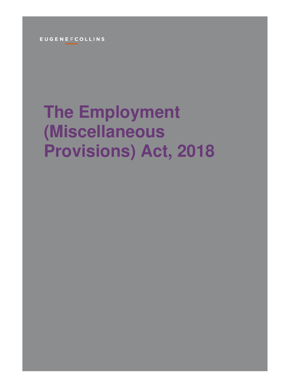**EUGENEFCOLLINS** 

# **The Employment (Miscellaneous Provisions) Act, 2018**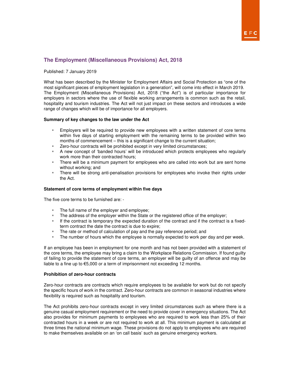## EFC

### **The Employment (Miscellaneous Provisions) Act, 2018**

Published: 7 January 2019

What has been described by the Minister for Employment Affairs and Social Protection as "one of the most significant pieces of employment legislation in a generation", will come into effect in March 2019. The Employment (Miscellaneous Provisions) Act, 2018 ("the Act") is of particular importance for employers in sectors where the use of flexible working arrangements is common such as the retail, hospitality and tourism industries. The Act will not just impact on these sectors and introduces a wide range of changes which will be of importance for all employers.

#### **Summary of key changes to the law under the Act**

- Employers will be required to provide new employees with a written statement of core terms within five days of starting employment with the remaining terms to be provided within two months of commencement – this is a significant change to the current situation;
- **EXEC** Zero-hour contracts will be prohibited except in very limited circumstances;
- A new concept of 'banded hours' will be introduced which protects employees who regularly work more than their contracted hours;
- There will be a minimum payment for employees who are called into work but are sent home without working; and
- There will be strong anti-penalisation provisions for employees who invoke their rights under the Act.

#### **Statement of core terms of employment within five days**

The five core terms to be furnished are: -

- **The full name of the employer and employee;**
- **The address of the employer within the State or the registered office of the employer;**
- If the contract is temporary the expected duration of the contract and if the contract is a fixedterm contract the date the contract is due to expire;
- The rate or method of calculation of pay and the pay reference period; and<br>The number of hours which the employee is normally expected to work per
- The number of hours which the employee is normally expected to work per day and per week.

If an employee has been in employment for one month and has not been provided with a statement of the core terms, the employee may bring a claim to the Workplace Relations Commission. If found guilty of failing to provide the statement of core terms, an employer will be guilty of an offence and may be liable to a fine up to €5,000 or a term of imprisonment not exceeding 12 months.

#### **Prohibition of zero-hour contracts**

Zero-hour contracts are contracts which require employees to be available for work but do not specify the specific hours of work in the contract. Zero-hour contracts are common in seasonal industries where flexibility is required such as hospitality and tourism.

The Act prohibits zero-hour contracts except in very limited circumstances such as where there is a genuine casual employment requirement or the need to provide cover in emergency situations. The Act also provides for minimum payments to employees who are required to work less than 25% of their contracted hours in a week or are not required to work at all. This minimum payment is calculated at three times the national minimum wage. These provisions do not apply to employees who are required to make themselves available on an 'on call basis' such as genuine emergency workers.